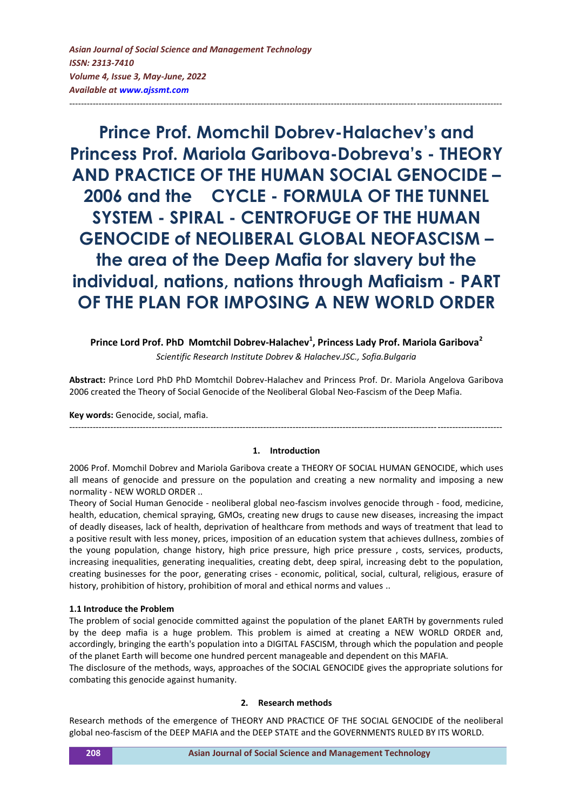**Prince Prof. Momchil Dobrev-Halachev's and Princess Prof. Mariola Garibova-Dobreva's - THEORY AND PRACTICE OF THE HUMAN SOCIAL GENOCIDE – 2006 and the CYCLE - FORMULA OF THE TUNNEL SYSTEM - SPIRAL - CENTROFUGE OF THE HUMAN GENOCIDE of NEOLIBERAL GLOBAL NEOFASCISM – the area of the Deep Mafia for slavery but the individual, nations, nations through Mafiaism - PART OF THE PLAN FOR IMPOSING A NEW WORLD ORDER**

---------------------------------------------------------------------------------------------------------------------------------------------------

Prince Lord Prof. PhD Momtchil Dobrev-Halachev<sup>1</sup>, Princess Lady Prof. Mariola Garibova<sup>2</sup> *Scientific Research Institute Dobrev & Halachev.JSC., Sofia.Bulgaria*

**Abstract:** Prince Lord PhD PhD Momtchil Dobrev-Halachev and Princess Prof. Dr. Mariola Angelova Garibova 2006 created the Theory of Social Genocide of the Neoliberal Global Neo-Fascism of the Deep Mafia.

**Key words:** Genocide, social, mafia.

#### **1. Introduction**

---------------------------------------------------------------------------------------------------------------------------------------------------

2006 Prof. Momchil Dobrev and Mariola Garibova create a THEORY OF SOCIAL HUMAN GENOCIDE, which uses all means of genocide and pressure on the population and creating a new normality and imposing a new normality - NEW WORLD ORDER ..

Theory of Social Human Genocide - neoliberal global neo-fascism involves genocide through - food, medicine, health, education, chemical spraying, GMOs, creating new drugs to cause new diseases, increasing the impact of deadly diseases, lack of health, deprivation of healthcare from methods and ways of treatment that lead to a positive result with less money, prices, imposition of an education system that achieves dullness, zombies of the young population, change history, high price pressure, high price pressure , costs, services, products, increasing inequalities, generating inequalities, creating debt, deep spiral, increasing debt to the population, creating businesses for the poor, generating crises - economic, political, social, cultural, religious, erasure of history, prohibition of history, prohibition of moral and ethical norms and values ..

#### **1.1 Introduce the Problem**

The problem of social genocide committed against the population of the planet EARTH by governments ruled by the deep mafia is a huge problem. This problem is aimed at creating a NEW WORLD ORDER and, accordingly, bringing the earth's population into a DIGITAL FASCISM, through which the population and people of the planet Earth will become one hundred percent manageable and dependent on this MAFIA.

The disclosure of the methods, ways, approaches of the SOCIAL GENOCIDE gives the appropriate solutions for combating this genocide against humanity.

#### **2. Research methods**

Research methods of the emergence of THEORY AND PRACTICE OF THE SOCIAL GENOCIDE of the neoliberal global neo-fascism of the DEEP MAFIA and the DEEP STATE and the GOVERNMENTS RULED BY ITS WORLD.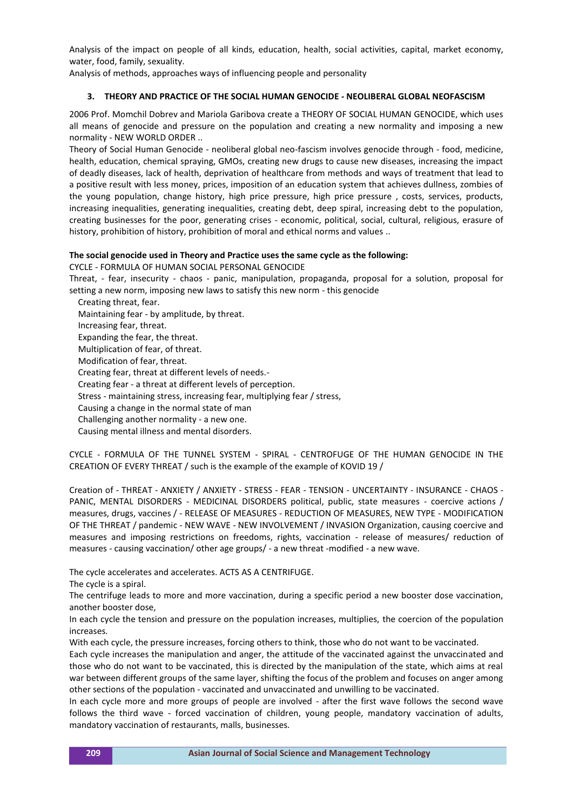Analysis of the impact on people of all kinds, education, health, social activities, capital, market economy, water, food, family, sexuality.

Analysis of methods, approaches ways of influencing people and personality

### **3. THEORY AND PRACTICE OF THE SOCIAL HUMAN GENOCIDE - NEOLIBERAL GLOBAL NEOFASCISM**

2006 Prof. Momchil Dobrev and Mariola Garibova create a THEORY OF SOCIAL HUMAN GENOCIDE, which uses all means of genocide and pressure on the population and creating a new normality and imposing a new normality - NEW WORLD ORDER ..

Theory of Social Human Genocide - neoliberal global neo-fascism involves genocide through - food, medicine, health, education, chemical spraying, GMOs, creating new drugs to cause new diseases, increasing the impact of deadly diseases, lack of health, deprivation of healthcare from methods and ways of treatment that lead to a positive result with less money, prices, imposition of an education system that achieves dullness, zombies of the young population, change history, high price pressure, high price pressure , costs, services, products, increasing inequalities, generating inequalities, creating debt, deep spiral, increasing debt to the population, creating businesses for the poor, generating crises - economic, political, social, cultural, religious, erasure of history, prohibition of history, prohibition of moral and ethical norms and values ..

# **The social genocide used in Theory and Practice uses the same cycle as the following:**

CYCLE - FORMULA OF HUMAN SOCIAL PERSONAL GENOCIDE

Threat, - fear, insecurity - chaos - panic, manipulation, propaganda, proposal for a solution, proposal for setting a new norm, imposing new laws to satisfy this new norm - this genocide

Creating threat, fear.

Maintaining fear - by amplitude, by threat.

Increasing fear, threat.

Expanding the fear, the threat.

Multiplication of fear, of threat.

Modification of fear, threat.

Creating fear, threat at different levels of needs.-

Creating fear - a threat at different levels of perception.

Stress - maintaining stress, increasing fear, multiplying fear / stress,

Causing a change in the normal state of man

Challenging another normality - a new one.

Causing mental illness and mental disorders.

CYCLE - FORMULA OF THE TUNNEL SYSTEM - SPIRAL - CENTROFUGE OF THE HUMAN GENOCIDE IN THE CREATION OF EVERY THREAT / such is the example of the example of KOVID 19 /

Creation of - THREAT - ANXIETY / ANXIETY - STRESS - FEAR - TENSION - UNCERTAINTY - INSURANCE - CHAOS - PANIC, MENTAL DISORDERS - MEDICINAL DISORDERS political, public, state measures - coercive actions / measures, drugs, vaccines / - RELEASE OF MEASURES - REDUCTION OF MEASURES, NEW TYPE - MODIFICATION OF THE THREAT / pandemic - NEW WAVE - NEW INVOLVEMENT / INVASION Organization, causing coercive and measures and imposing restrictions on freedoms, rights, vaccination - release of measures/ reduction of measures - causing vaccination/ other age groups/ - a new threat -modified - a new wave.

The cycle accelerates and accelerates. ACTS AS A CENTRIFUGE.

The cycle is a spiral.

The centrifuge leads to more and more vaccination, during a specific period a new booster dose vaccination, another booster dose,

In each cycle the tension and pressure on the population increases, multiplies, the coercion of the population increases.

With each cycle, the pressure increases, forcing others to think, those who do not want to be vaccinated.

Each cycle increases the manipulation and anger, the attitude of the vaccinated against the unvaccinated and those who do not want to be vaccinated, this is directed by the manipulation of the state, which aims at real war between different groups of the same layer, shifting the focus of the problem and focuses on anger among other sections of the population - vaccinated and unvaccinated and unwilling to be vaccinated.

In each cycle more and more groups of people are involved - after the first wave follows the second wave follows the third wave - forced vaccination of children, young people, mandatory vaccination of adults, mandatory vaccination of restaurants, malls, businesses.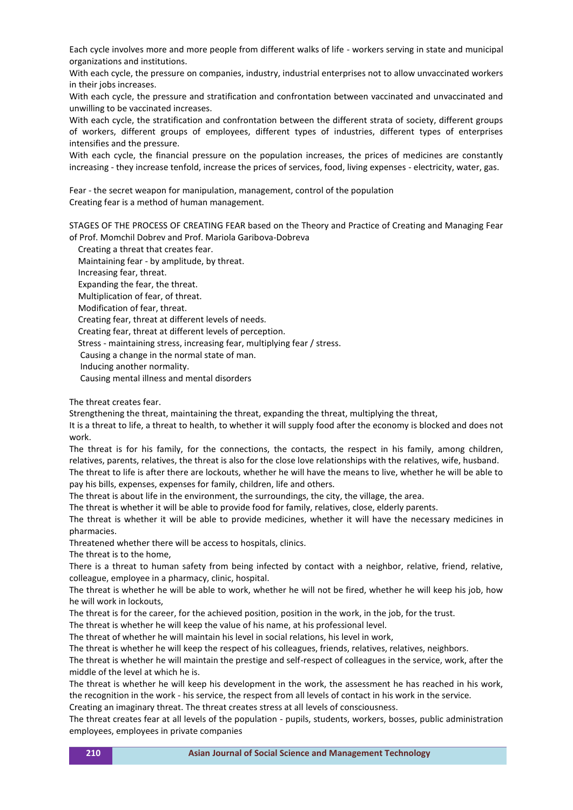Each cycle involves more and more people from different walks of life - workers serving in state and municipal organizations and institutions.

With each cycle, the pressure on companies, industry, industrial enterprises not to allow unvaccinated workers in their jobs increases.

With each cycle, the pressure and stratification and confrontation between vaccinated and unvaccinated and unwilling to be vaccinated increases.

With each cycle, the stratification and confrontation between the different strata of society, different groups of workers, different groups of employees, different types of industries, different types of enterprises intensifies and the pressure.

With each cycle, the financial pressure on the population increases, the prices of medicines are constantly increasing - they increase tenfold, increase the prices of services, food, living expenses - electricity, water, gas.

Fear - the secret weapon for manipulation, management, control of the population Creating fear is a method of human management.

STAGES OF THE PROCESS OF CREATING FEAR based on the Theory and Practice of Creating and Managing Fear of Prof. Momchil Dobrev and Prof. Mariola Garibova-Dobreva

Creating a threat that creates fear.

Maintaining fear - by amplitude, by threat.

Increasing fear, threat.

Expanding the fear, the threat.

Multiplication of fear, of threat.

Modification of fear, threat.

Creating fear, threat at different levels of needs.

Creating fear, threat at different levels of perception.

Stress - maintaining stress, increasing fear, multiplying fear / stress.

Causing a change in the normal state of man.

Inducing another normality.

Causing mental illness and mental disorders

The threat creates fear.

Strengthening the threat, maintaining the threat, expanding the threat, multiplying the threat,

It is a threat to life, a threat to health, to whether it will supply food after the economy is blocked and does not work.

The threat is for his family, for the connections, the contacts, the respect in his family, among children, relatives, parents, relatives, the threat is also for the close love relationships with the relatives, wife, husband.

The threat to life is after there are lockouts, whether he will have the means to live, whether he will be able to pay his bills, expenses, expenses for family, children, life and others.

The threat is about life in the environment, the surroundings, the city, the village, the area.

The threat is whether it will be able to provide food for family, relatives, close, elderly parents.

The threat is whether it will be able to provide medicines, whether it will have the necessary medicines in pharmacies.

Threatened whether there will be access to hospitals, clinics.

The threat is to the home,

There is a threat to human safety from being infected by contact with a neighbor, relative, friend, relative, colleague, employee in a pharmacy, clinic, hospital.

The threat is whether he will be able to work, whether he will not be fired, whether he will keep his job, how he will work in lockouts,

The threat is for the career, for the achieved position, position in the work, in the job, for the trust.

The threat is whether he will keep the value of his name, at his professional level.

The threat of whether he will maintain his level in social relations, his level in work,

The threat is whether he will keep the respect of his colleagues, friends, relatives, relatives, neighbors.

The threat is whether he will maintain the prestige and self-respect of colleagues in the service, work, after the middle of the level at which he is.

The threat is whether he will keep his development in the work, the assessment he has reached in his work, the recognition in the work - his service, the respect from all levels of contact in his work in the service.

Creating an imaginary threat. The threat creates stress at all levels of consciousness.

The threat creates fear at all levels of the population - pupils, students, workers, bosses, public administration employees, employees in private companies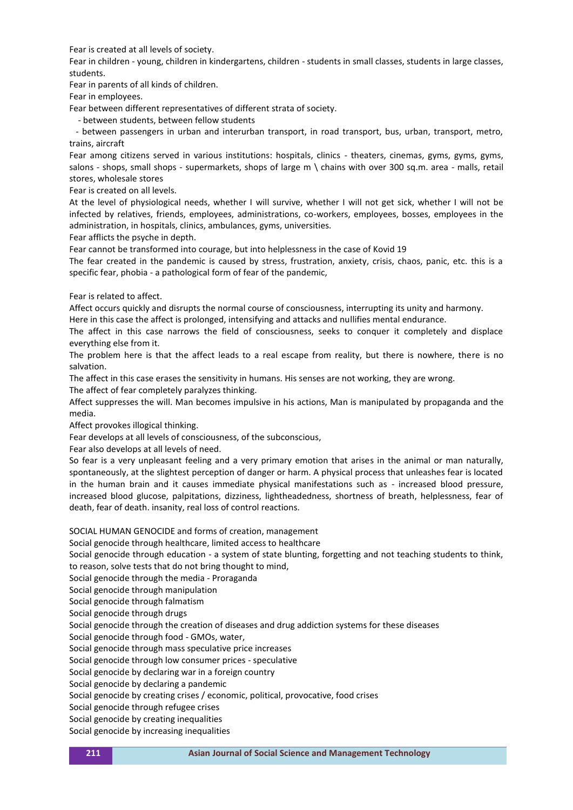Fear is created at all levels of society.

Fear in children - young, children in kindergartens, children - students in small classes, students in large classes, students.

Fear in parents of all kinds of children.

Fear in employees.

Fear between different representatives of different strata of society.

- between students, between fellow students

 - between passengers in urban and interurban transport, in road transport, bus, urban, transport, metro, trains, aircraft

Fear among citizens served in various institutions: hospitals, clinics - theaters, cinemas, gyms, gyms, gyms, salons - shops, small shops - supermarkets, shops of large m \ chains with over 300 sq.m. area - malls, retail stores, wholesale stores

Fear is created on all levels.

At the level of physiological needs, whether I will survive, whether I will not get sick, whether I will not be infected by relatives, friends, employees, administrations, co-workers, employees, bosses, employees in the administration, in hospitals, clinics, ambulances, gyms, universities.

Fear afflicts the psyche in depth.

Fear cannot be transformed into courage, but into helplessness in the case of Kovid 19

The fear created in the pandemic is caused by stress, frustration, anxiety, crisis, chaos, panic, etc. this is a specific fear, phobia - a pathological form of fear of the pandemic,

Fear is related to affect.

Affect occurs quickly and disrupts the normal course of consciousness, interrupting its unity and harmony.

Here in this case the affect is prolonged, intensifying and attacks and nullifies mental endurance.

The affect in this case narrows the field of consciousness, seeks to conquer it completely and displace everything else from it.

The problem here is that the affect leads to a real escape from reality, but there is nowhere, there is no salvation.

The affect in this case erases the sensitivity in humans. His senses are not working, they are wrong.

The affect of fear completely paralyzes thinking.

Affect suppresses the will. Man becomes impulsive in his actions, Man is manipulated by propaganda and the media.

Affect provokes illogical thinking.

Fear develops at all levels of consciousness, of the subconscious,

Fear also develops at all levels of need.

So fear is a very unpleasant feeling and a very primary emotion that arises in the animal or man naturally, spontaneously, at the slightest perception of danger or harm. A physical process that unleashes fear is located in the human brain and it causes immediate physical manifestations such as - increased blood pressure, increased blood glucose, palpitations, dizziness, lightheadedness, shortness of breath, helplessness, fear of death, fear of death. insanity, real loss of control reactions.

SOCIAL HUMAN GENOCIDE and forms of creation, management

Social genocide through healthcare, limited access to healthcare

Social genocide through education - a system of state blunting, forgetting and not teaching students to think, to reason, solve tests that do not bring thought to mind,

Social genocide through the media - Proraganda

Social genocide through manipulation

Social genocide through falmatism

Social genocide through drugs

Social genocide through the creation of diseases and drug addiction systems for these diseases

Social genocide through food - GMOs, water,

Social genocide through mass speculative price increases

Social genocide through low consumer prices - speculative

Social genocide by declaring war in a foreign country

Social genocide by declaring a pandemic

Social genocide by creating crises / economic, political, provocative, food crises

Social genocide through refugee crises

Social genocide by creating inequalities

Social genocide by increasing inequalities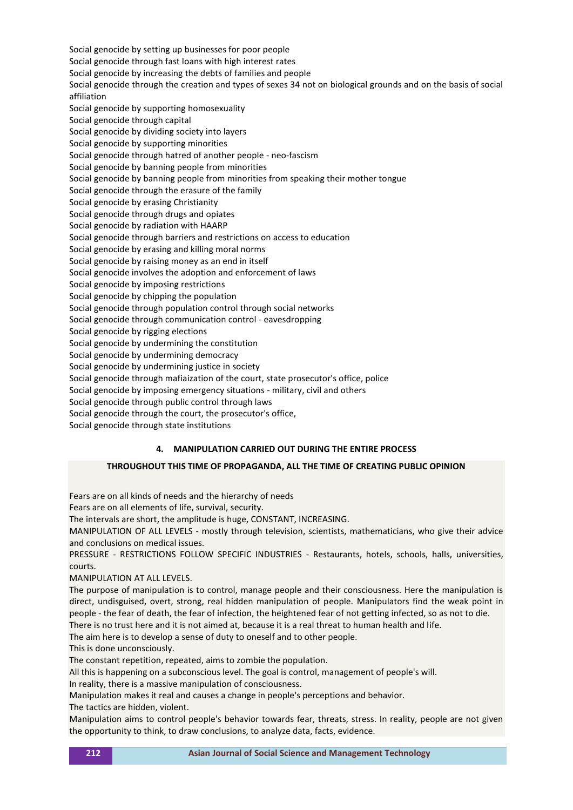Social genocide by setting up businesses for poor people Social genocide through fast loans with high interest rates Social genocide by increasing the debts of families and people Social genocide through the creation and types of sexes 34 not on biological grounds and on the basis of social affiliation Social genocide by supporting homosexuality Social genocide through capital Social genocide by dividing society into layers Social genocide by supporting minorities Social genocide through hatred of another people - neo-fascism Social genocide by banning people from minorities Social genocide by banning people from minorities from speaking their mother tongue Social genocide through the erasure of the family Social genocide by erasing Christianity Social genocide through drugs and opiates Social genocide by radiation with HAARP Social genocide through barriers and restrictions on access to education Social genocide by erasing and killing moral norms Social genocide by raising money as an end in itself Social genocide involves the adoption and enforcement of laws Social genocide by imposing restrictions Social genocide by chipping the population Social genocide through population control through social networks Social genocide through communication control - eavesdropping Social genocide by rigging elections Social genocide by undermining the constitution Social genocide by undermining democracy Social genocide by undermining justice in society Social genocide through mafiaization of the court, state prosecutor's office, police Social genocide by imposing emergency situations - military, civil and others Social genocide through public control through laws Social genocide through the court, the prosecutor's office,

Social genocide through state institutions

# **4. MANIPULATION CARRIED OUT DURING THE ENTIRE PROCESS**

# **THROUGHOUT THIS TIME OF PROPAGANDA, ALL THE TIME OF CREATING PUBLIC OPINION**

Fears are on all kinds of needs and the hierarchy of needs

Fears are on all elements of life, survival, security.

The intervals are short, the amplitude is huge, CONSTANT, INCREASING.

MANIPULATION OF ALL LEVELS - mostly through television, scientists, mathematicians, who give their advice and conclusions on medical issues.

PRESSURE - RESTRICTIONS FOLLOW SPECIFIC INDUSTRIES - Restaurants, hotels, schools, halls, universities, courts.

MANIPULATION AT ALL LEVELS.

The purpose of manipulation is to control, manage people and their consciousness. Here the manipulation is direct, undisguised, overt, strong, real hidden manipulation of people. Manipulators find the weak point in people - the fear of death, the fear of infection, the heightened fear of not getting infected, so as not to die.

There is no trust here and it is not aimed at, because it is a real threat to human health and life.

The aim here is to develop a sense of duty to oneself and to other people.

This is done unconsciously.

The constant repetition, repeated, aims to zombie the population.

All this is happening on a subconscious level. The goal is control, management of people's will.

In reality, there is a massive manipulation of consciousness.

Manipulation makes it real and causes a change in people's perceptions and behavior.

The tactics are hidden, violent.

Manipulation aims to control people's behavior towards fear, threats, stress. In reality, people are not given the opportunity to think, to draw conclusions, to analyze data, facts, evidence.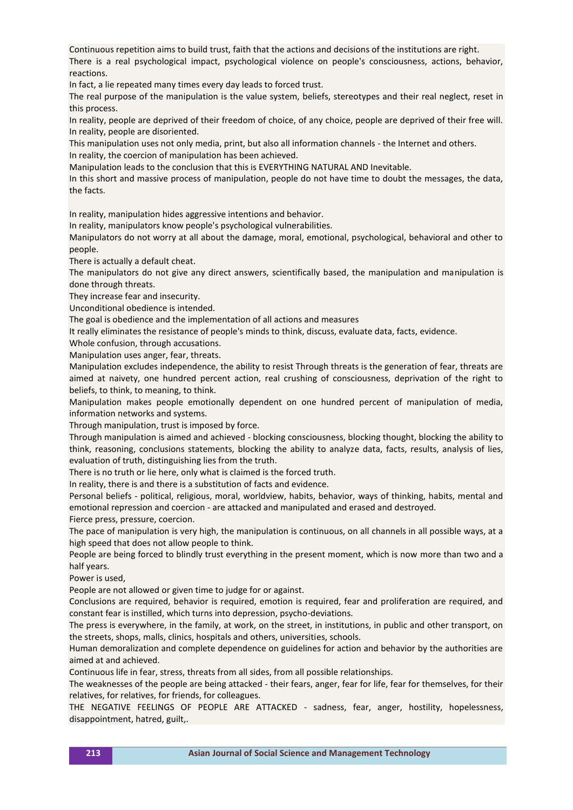Continuous repetition aims to build trust, faith that the actions and decisions of the institutions are right. There is a real psychological impact, psychological violence on people's consciousness, actions, behavior, reactions.

In fact, a lie repeated many times every day leads to forced trust.

The real purpose of the manipulation is the value system, beliefs, stereotypes and their real neglect, reset in this process.

In reality, people are deprived of their freedom of choice, of any choice, people are deprived of their free will. In reality, people are disoriented.

This manipulation uses not only media, print, but also all information channels - the Internet and others. In reality, the coercion of manipulation has been achieved.

Manipulation leads to the conclusion that this is EVERYTHING NATURAL AND Inevitable.

In this short and massive process of manipulation, people do not have time to doubt the messages, the data, the facts.

In reality, manipulation hides aggressive intentions and behavior.

In reality, manipulators know people's psychological vulnerabilities.

Manipulators do not worry at all about the damage, moral, emotional, psychological, behavioral and other to people.

There is actually a default cheat.

The manipulators do not give any direct answers, scientifically based, the manipulation and manipulation is done through threats.

They increase fear and insecurity.

Unconditional obedience is intended.

The goal is obedience and the implementation of all actions and measures

It really eliminates the resistance of people's minds to think, discuss, evaluate data, facts, evidence.

Whole confusion, through accusations.

Manipulation uses anger, fear, threats.

Manipulation excludes independence, the ability to resist Through threats is the generation of fear, threats are aimed at naivety, one hundred percent action, real crushing of consciousness, deprivation of the right to beliefs, to think, to meaning, to think.

Manipulation makes people emotionally dependent on one hundred percent of manipulation of media, information networks and systems.

Through manipulation, trust is imposed by force.

Through manipulation is aimed and achieved - blocking consciousness, blocking thought, blocking the ability to think, reasoning, conclusions statements, blocking the ability to analyze data, facts, results, analysis of lies, evaluation of truth, distinguishing lies from the truth.

There is no truth or lie here, only what is claimed is the forced truth.

In reality, there is and there is a substitution of facts and evidence.

Personal beliefs - political, religious, moral, worldview, habits, behavior, ways of thinking, habits, mental and emotional repression and coercion - are attacked and manipulated and erased and destroyed.

Fierce press, pressure, coercion.

The pace of manipulation is very high, the manipulation is continuous, on all channels in all possible ways, at a high speed that does not allow people to think.

People are being forced to blindly trust everything in the present moment, which is now more than two and a half years.

Power is used,

People are not allowed or given time to judge for or against.

Conclusions are required, behavior is required, emotion is required, fear and proliferation are required, and constant fear is instilled, which turns into depression, psycho-deviations.

The press is everywhere, in the family, at work, on the street, in institutions, in public and other transport, on the streets, shops, malls, clinics, hospitals and others, universities, schools.

Human demoralization and complete dependence on guidelines for action and behavior by the authorities are aimed at and achieved.

Continuous life in fear, stress, threats from all sides, from all possible relationships.

The weaknesses of the people are being attacked - their fears, anger, fear for life, fear for themselves, for their relatives, for relatives, for friends, for colleagues.

THE NEGATIVE FEELINGS OF PEOPLE ARE ATTACKED - sadness, fear, anger, hostility, hopelessness, disappointment, hatred, guilt,.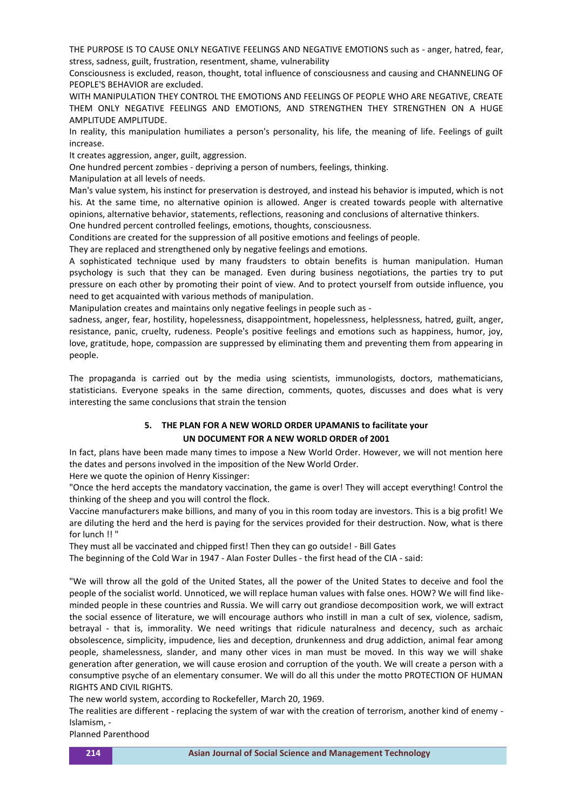THE PURPOSE IS TO CAUSE ONLY NEGATIVE FEELINGS AND NEGATIVE EMOTIONS such as - anger, hatred, fear, stress, sadness, guilt, frustration, resentment, shame, vulnerability

Consciousness is excluded, reason, thought, total influence of consciousness and causing and CHANNELING OF PEOPLE'S BEHAVIOR are excluded.

WITH MANIPULATION THEY CONTROL THE EMOTIONS AND FEELINGS OF PEOPLE WHO ARE NEGATIVE, CREATE THEM ONLY NEGATIVE FEELINGS AND EMOTIONS, AND STRENGTHEN THEY STRENGTHEN ON A HUGE AMPLITUDE AMPLITUDE.

In reality, this manipulation humiliates a person's personality, his life, the meaning of life. Feelings of guilt increase.

It creates aggression, anger, guilt, aggression.

One hundred percent zombies - depriving a person of numbers, feelings, thinking.

Manipulation at all levels of needs.

Man's value system, his instinct for preservation is destroyed, and instead his behavior is imputed, which is not his. At the same time, no alternative opinion is allowed. Anger is created towards people with alternative opinions, alternative behavior, statements, reflections, reasoning and conclusions of alternative thinkers.

One hundred percent controlled feelings, emotions, thoughts, consciousness.

Conditions are created for the suppression of all positive emotions and feelings of people.

They are replaced and strengthened only by negative feelings and emotions.

A sophisticated technique used by many fraudsters to obtain benefits is human manipulation. Human psychology is such that they can be managed. Even during business negotiations, the parties try to put pressure on each other by promoting their point of view. And to protect yourself from outside influence, you need to get acquainted with various methods of manipulation.

Manipulation creates and maintains only negative feelings in people such as -

sadness, anger, fear, hostility, hopelessness, disappointment, hopelessness, helplessness, hatred, guilt, anger, resistance, panic, cruelty, rudeness. People's positive feelings and emotions such as happiness, humor, joy, love, gratitude, hope, compassion are suppressed by eliminating them and preventing them from appearing in people.

The propaganda is carried out by the media using scientists, immunologists, doctors, mathematicians, statisticians. Everyone speaks in the same direction, comments, quotes, discusses and does what is very interesting the same conclusions that strain the tension

# **5. THE PLAN FOR A NEW WORLD ORDER UPAMANIS to facilitate your UN DOCUMENT FOR A NEW WORLD ORDER of 2001**

In fact, plans have been made many times to impose a New World Order. However, we will not mention here the dates and persons involved in the imposition of the New World Order.

Here we quote the opinion of Henry Kissinger:

"Once the herd accepts the mandatory vaccination, the game is over! They will accept everything! Control the thinking of the sheep and you will control the flock.

Vaccine manufacturers make billions, and many of you in this room today are investors. This is a big profit! We are diluting the herd and the herd is paying for the services provided for their destruction. Now, what is there for lunch !! "

They must all be vaccinated and chipped first! Then they can go outside! - Bill Gates

The beginning of the Cold War in 1947 - Alan Foster Dulles - the first head of the CIA - said:

"We will throw all the gold of the United States, all the power of the United States to deceive and fool the people of the socialist world. Unnoticed, we will replace human values with false ones. HOW? We will find likeminded people in these countries and Russia. We will carry out grandiose decomposition work, we will extract the social essence of literature, we will encourage authors who instill in man a cult of sex, violence, sadism, betrayal - that is, immorality. We need writings that ridicule naturalness and decency, such as archaic obsolescence, simplicity, impudence, lies and deception, drunkenness and drug addiction, animal fear among people, shamelessness, slander, and many other vices in man must be moved. In this way we will shake generation after generation, we will cause erosion and corruption of the youth. We will create a person with a consumptive psyche of an elementary consumer. We will do all this under the motto PROTECTION OF HUMAN RIGHTS AND CIVIL RIGHTS.

The new world system, according to Rockefeller, March 20, 1969.

The realities are different - replacing the system of war with the creation of terrorism, another kind of enemy - Islamism, -

Planned Parenthood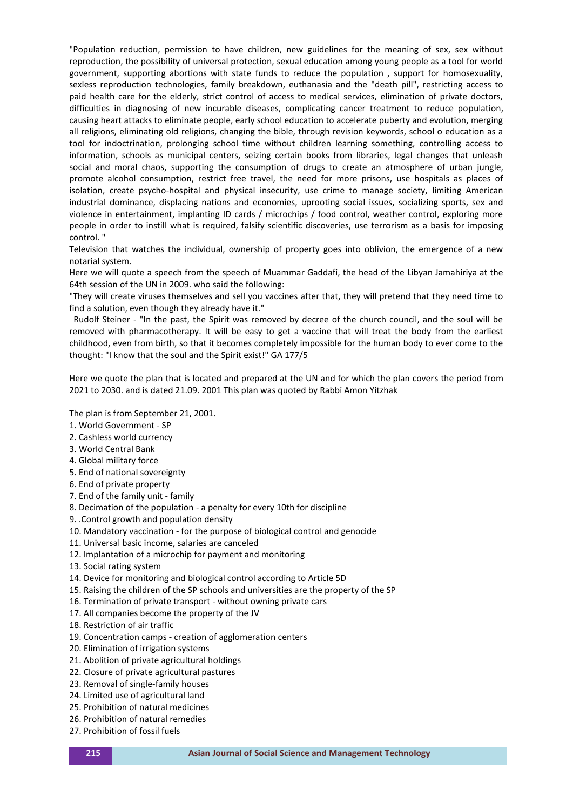"Population reduction, permission to have children, new guidelines for the meaning of sex, sex without reproduction, the possibility of universal protection, sexual education among young people as a tool for world government, supporting abortions with state funds to reduce the population , support for homosexuality, sexless reproduction technologies, family breakdown, euthanasia and the "death pill", restricting access to paid health care for the elderly, strict control of access to medical services, elimination of private doctors, difficulties in diagnosing of new incurable diseases, complicating cancer treatment to reduce population, causing heart attacks to eliminate people, early school education to accelerate puberty and evolution, merging all religions, eliminating old religions, changing the bible, through revision keywords, school o education as a tool for indoctrination, prolonging school time without children learning something, controlling access to information, schools as municipal centers, seizing certain books from libraries, legal changes that unleash social and moral chaos, supporting the consumption of drugs to create an atmosphere of urban jungle, promote alcohol consumption, restrict free travel, the need for more prisons, use hospitals as places of isolation, create psycho-hospital and physical insecurity, use crime to manage society, limiting American industrial dominance, displacing nations and economies, uprooting social issues, socializing sports, sex and violence in entertainment, implanting ID cards / microchips / food control, weather control, exploring more people in order to instill what is required, falsify scientific discoveries, use terrorism as a basis for imposing control. "

Television that watches the individual, ownership of property goes into oblivion, the emergence of a new notarial system.

Here we will quote a speech from the speech of Muammar Gaddafi, the head of the Libyan Jamahiriya at the 64th session of the UN in 2009. who said the following:

"They will create viruses themselves and sell you vaccines after that, they will pretend that they need time to find a solution, even though they already have it."

 Rudolf Steiner - "In the past, the Spirit was removed by decree of the church council, and the soul will be removed with pharmacotherapy. It will be easy to get a vaccine that will treat the body from the earliest childhood, even from birth, so that it becomes completely impossible for the human body to ever come to the thought: "I know that the soul and the Spirit exist!" GA 177/5

Here we quote the plan that is located and prepared at the UN and for which the plan covers the period from 2021 to 2030. and is dated 21.09. 2001 This plan was quoted by Rabbi Amon Yitzhak

The plan is from September 21, 2001.

- 1. World Government SP
- 2. Cashless world currency
- 3. World Central Bank
- 4. Global military force
- 5. End of national sovereignty
- 6. End of private property
- 7. End of the family unit family
- 8. Decimation of the population a penalty for every 10th for discipline
- 9. .Control growth and population density
- 10. Mandatory vaccination for the purpose of biological control and genocide
- 11. Universal basic income, salaries are canceled
- 12. Implantation of a microchip for payment and monitoring
- 13. Social rating system
- 14. Device for monitoring and biological control according to Article 5D
- 15. Raising the children of the SP schools and universities are the property of the SP
- 16. Termination of private transport without owning private cars
- 17. All companies become the property of the JV
- 18. Restriction of air traffic
- 19. Concentration camps creation of agglomeration centers
- 20. Elimination of irrigation systems
- 21. Abolition of private agricultural holdings
- 22. Closure of private agricultural pastures
- 23. Removal of single-family houses
- 24. Limited use of agricultural land
- 25. Prohibition of natural medicines
- 26. Prohibition of natural remedies
- 27. Prohibition of fossil fuels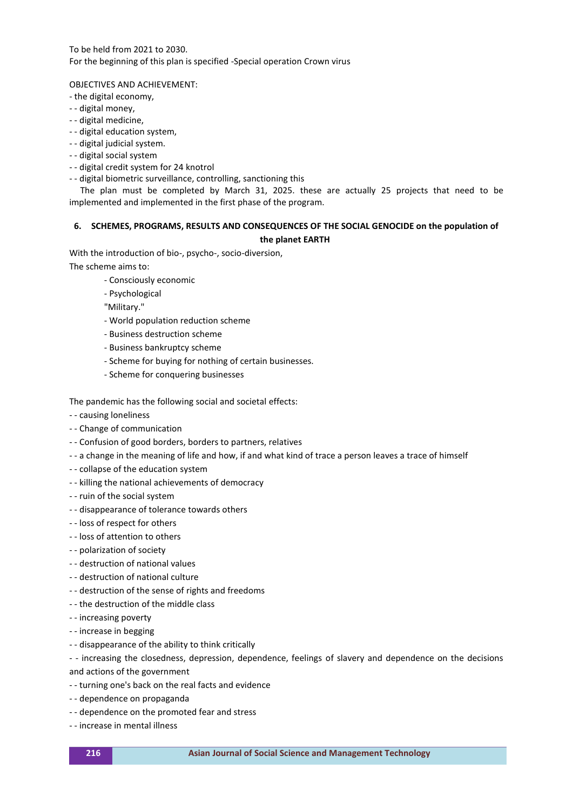To be held from 2021 to 2030. For the beginning of this plan is specified -Special operation Crown virus

OBJECTIVES AND ACHIEVEMENT:

- the digital economy,
- - digital money,
- - digital medicine,
- - digital education system,
- - digital judicial system.
- - digital social system
- - digital credit system for 24 knotrol
- - digital biometric surveillance, controlling, sanctioning this

 The plan must be completed by March 31, 2025. these are actually 25 projects that need to be implemented and implemented in the first phase of the program.

### **6. SCHEMES, PROGRAMS, RESULTS AND CONSEQUENCES OF THE SOCIAL GENOCIDE on the population of the planet EARTH**

With the introduction of bio-, psycho-, socio-diversion,

The scheme aims to:

- Consciously economic
- Psychological
- "Military."
- World population reduction scheme
- Business destruction scheme
- Business bankruptcy scheme
- Scheme for buying for nothing of certain businesses.
- Scheme for conquering businesses

The pandemic has the following social and societal effects:

- - causing loneliness
- - Change of communication
- - Confusion of good borders, borders to partners, relatives
- - a change in the meaning of life and how, if and what kind of trace a person leaves a trace of himself
- - collapse of the education system
- - killing the national achievements of democracy
- - ruin of the social system
- - disappearance of tolerance towards others
- - loss of respect for others
- - loss of attention to others
- - polarization of society
- - destruction of national values
- - destruction of national culture
- - destruction of the sense of rights and freedoms
- - the destruction of the middle class
- - increasing poverty
- - increase in begging
- - disappearance of the ability to think critically

- - increasing the closedness, depression, dependence, feelings of slavery and dependence on the decisions

- and actions of the government
- - turning one's back on the real facts and evidence
- - dependence on propaganda
- - dependence on the promoted fear and stress
- - increase in mental illness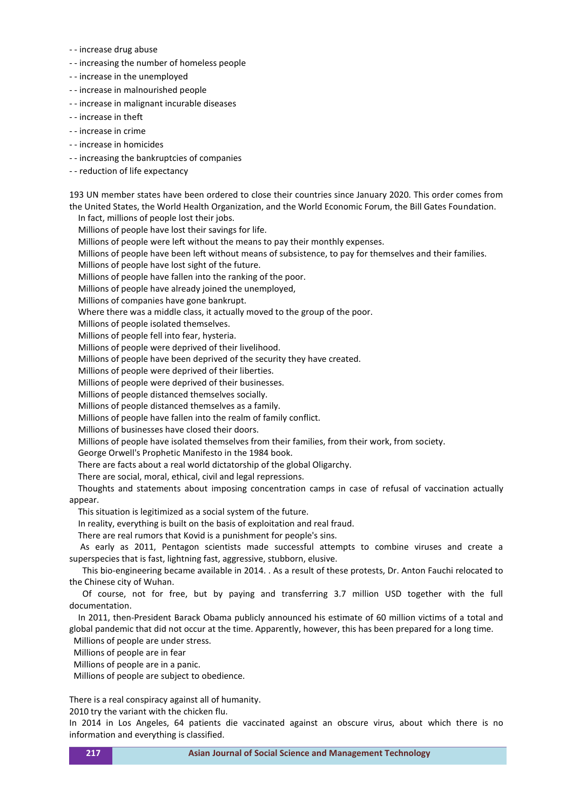- - increase drug abuse
- - increasing the number of homeless people
- - increase in the unemployed
- - increase in malnourished people
- - increase in malignant incurable diseases
- - increase in theft
- - increase in crime
- - increase in homicides
- - increasing the bankruptcies of companies
- - reduction of life expectancy

193 UN member states have been ordered to close their countries since January 2020. This order comes from the United States, the World Health Organization, and the World Economic Forum, the Bill Gates Foundation.

 In fact, millions of people lost their jobs. Millions of people have lost their savings for life. Millions of people were left without the means to pay their monthly expenses. Millions of people have been left without means of subsistence, to pay for themselves and their families. Millions of people have lost sight of the future. Millions of people have fallen into the ranking of the poor. Millions of people have already joined the unemployed, Millions of companies have gone bankrupt. Where there was a middle class, it actually moved to the group of the poor. Millions of people isolated themselves. Millions of people fell into fear, hysteria. Millions of people were deprived of their livelihood. Millions of people have been deprived of the security they have created. Millions of people were deprived of their liberties. Millions of people were deprived of their businesses. Millions of people distanced themselves socially. Millions of people distanced themselves as a family. Millions of people have fallen into the realm of family conflict. Millions of businesses have closed their doors. Millions of people have isolated themselves from their families, from their work, from society. George Orwell's Prophetic Manifesto in the 1984 book. There are facts about a real world dictatorship of the global Oligarchy. There are social, moral, ethical, civil and legal repressions. Thoughts and statements about imposing concentration camps in case of refusal of vaccination actually appear. This situation is legitimized as a social system of the future. In reality, everything is built on the basis of exploitation and real fraud. There are real rumors that Kovid is a punishment for people's sins.

 As early as 2011, Pentagon scientists made successful attempts to combine viruses and create a superspecies that is fast, lightning fast, aggressive, stubborn, elusive.

 This bio-engineering became available in 2014. . As a result of these protests, Dr. Anton Fauchi relocated to the Chinese city of Wuhan.

 Of course, not for free, but by paying and transferring 3.7 million USD together with the full documentation.

 In 2011, then-President Barack Obama publicly announced his estimate of 60 million victims of a total and global pandemic that did not occur at the time. Apparently, however, this has been prepared for a long time.

Millions of people are under stress.

Millions of people are in fear

Millions of people are in a panic.

Millions of people are subject to obedience.

There is a real conspiracy against all of humanity.

2010 try the variant with the chicken flu.

In 2014 in Los Angeles, 64 patients die vaccinated against an obscure virus, about which there is no information and everything is classified.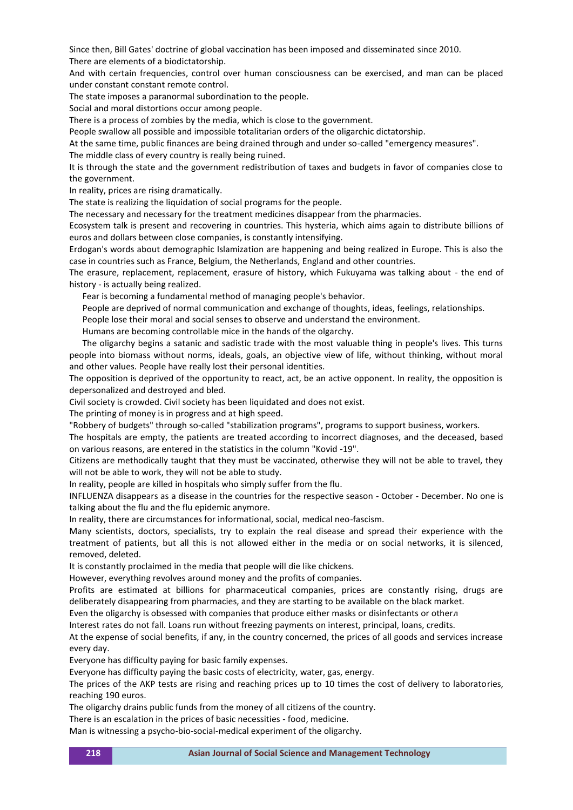Since then, Bill Gates' doctrine of global vaccination has been imposed and disseminated since 2010. There are elements of a biodictatorship.

And with certain frequencies, control over human consciousness can be exercised, and man can be placed under constant constant remote control.

The state imposes a paranormal subordination to the people.

Social and moral distortions occur among people.

There is a process of zombies by the media, which is close to the government.

People swallow all possible and impossible totalitarian orders of the oligarchic dictatorship.

At the same time, public finances are being drained through and under so-called "emergency measures". The middle class of every country is really being ruined.

It is through the state and the government redistribution of taxes and budgets in favor of companies close to the government.

In reality, prices are rising dramatically.

The state is realizing the liquidation of social programs for the people.

The necessary and necessary for the treatment medicines disappear from the pharmacies.

Ecosystem talk is present and recovering in countries. This hysteria, which aims again to distribute billions of euros and dollars between close companies, is constantly intensifying.

Erdogan's words about demographic Islamization are happening and being realized in Europe. This is also the case in countries such as France, Belgium, the Netherlands, England and other countries.

The erasure, replacement, replacement, erasure of history, which Fukuyama was talking about - the end of history - is actually being realized.

Fear is becoming a fundamental method of managing people's behavior.

People are deprived of normal communication and exchange of thoughts, ideas, feelings, relationships.

People lose their moral and social senses to observe and understand the environment.

Humans are becoming controllable mice in the hands of the olgarchy.

 The oligarchy begins a satanic and sadistic trade with the most valuable thing in people's lives. This turns people into biomass without norms, ideals, goals, an objective view of life, without thinking, without moral and other values. People have really lost their personal identities.

The opposition is deprived of the opportunity to react, act, be an active opponent. In reality, the opposition is depersonalized and destroyed and bled.

Civil society is crowded. Civil society has been liquidated and does not exist.

The printing of money is in progress and at high speed.

"Robbery of budgets" through so-called "stabilization programs", programs to support business, workers.

The hospitals are empty, the patients are treated according to incorrect diagnoses, and the deceased, based on various reasons, are entered in the statistics in the column "Kovid -19".

Citizens are methodically taught that they must be vaccinated, otherwise they will not be able to travel, they will not be able to work, they will not be able to study.

In reality, people are killed in hospitals who simply suffer from the flu.

INFLUENZA disappears as a disease in the countries for the respective season - October - December. No one is talking about the flu and the flu epidemic anymore.

In reality, there are circumstances for informational, social, medical neo-fascism.

Many scientists, doctors, specialists, try to explain the real disease and spread their experience with the treatment of patients, but all this is not allowed either in the media or on social networks, it is silenced, removed, deleted.

It is constantly proclaimed in the media that people will die like chickens.

However, everything revolves around money and the profits of companies.

Profits are estimated at billions for pharmaceutical companies, prices are constantly rising, drugs are deliberately disappearing from pharmacies, and they are starting to be available on the black market.

Even the oligarchy is obsessed with companies that produce either masks or disinfectants or otherл

Interest rates do not fall. Loans run without freezing payments on interest, principal, loans, credits.

At the expense of social benefits, if any, in the country concerned, the prices of all goods and services increase every day.

Everyone has difficulty paying for basic family expenses.

Everyone has difficulty paying the basic costs of electricity, water, gas, energy.

The prices of the AKP tests are rising and reaching prices up to 10 times the cost of delivery to laboratories, reaching 190 euros.

The oligarchy drains public funds from the money of all citizens of the country.

There is an escalation in the prices of basic necessities - food, medicine.

Man is witnessing a psycho-bio-social-medical experiment of the oligarchy.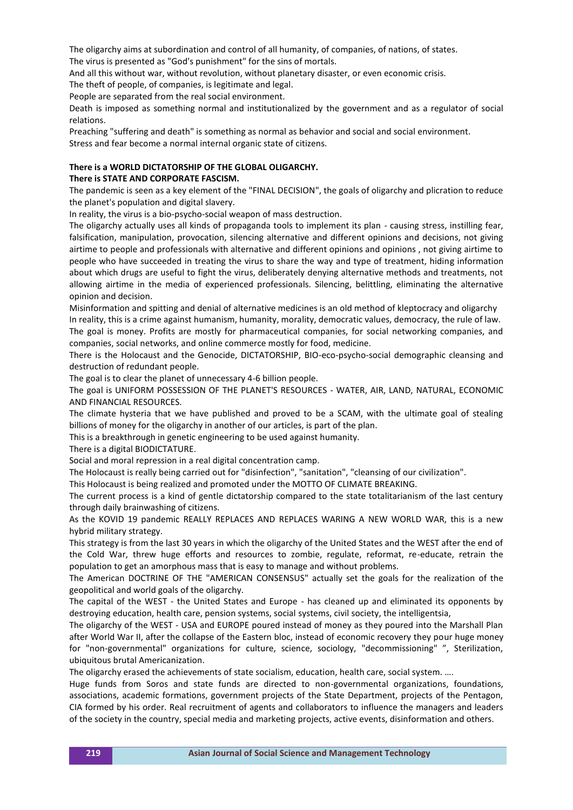The oligarchy aims at subordination and control of all humanity, of companies, of nations, of states. The virus is presented as "God's punishment" for the sins of mortals.

And all this without war, without revolution, without planetary disaster, or even economic crisis.

The theft of people, of companies, is legitimate and legal.

People are separated from the real social environment.

Death is imposed as something normal and institutionalized by the government and as a regulator of social relations.

Preaching "suffering and death" is something as normal as behavior and social and social environment. Stress and fear become a normal internal organic state of citizens.

# **There is a WORLD DICTATORSHIP OF THE GLOBAL OLIGARCHY.**

## **There is STATE AND CORPORATE FASCISM.**

The pandemic is seen as a key element of the "FINAL DECISION", the goals of oligarchy and plicration to reduce the planet's population and digital slavery.

In reality, the virus is a bio-psycho-social weapon of mass destruction.

The oligarchy actually uses all kinds of propaganda tools to implement its plan - causing stress, instilling fear, falsification, manipulation, provocation, silencing alternative and different opinions and decisions, not giving airtime to people and professionals with alternative and different opinions and opinions , not giving airtime to people who have succeeded in treating the virus to share the way and type of treatment, hiding information about which drugs are useful to fight the virus, deliberately denying alternative methods and treatments, not allowing airtime in the media of experienced professionals. Silencing, belittling, eliminating the alternative opinion and decision.

Misinformation and spitting and denial of alternative medicines is an old method of kleptocracy and oligarchy In reality, this is a crime against humanism, humanity, morality, democratic values, democracy, the rule of law. The goal is money. Profits are mostly for pharmaceutical companies, for social networking companies, and companies, social networks, and online commerce mostly for food, medicine.

There is the Holocaust and the Genocide, DICTATORSHIP, BIO-eco-psycho-social demographic cleansing and destruction of redundant people.

The goal is to clear the planet of unnecessary 4-6 billion people.

The goal is UNIFORM POSSESSION OF THE PLANET'S RESOURCES - WATER, AIR, LAND, NATURAL, ECONOMIC AND FINANCIAL RESOURCES.

The climate hysteria that we have published and proved to be a SCAM, with the ultimate goal of stealing billions of money for the oligarchy in another of our articles, is part of the plan.

This is a breakthrough in genetic engineering to be used against humanity.

There is a digital BIODICTATURE.

Social and moral repression in a real digital concentration camp.

The Holocaust is really being carried out for "disinfection", "sanitation", "cleansing of our civilization".

This Holocaust is being realized and promoted under the MOTTO OF CLIMATE BREAKING.

The current process is a kind of gentle dictatorship compared to the state totalitarianism of the last century through daily brainwashing of citizens.

As the KOVID 19 pandemic REALLY REPLACES AND REPLACES WARING A NEW WORLD WAR, this is a new hybrid military strategy.

This strategy is from the last 30 years in which the oligarchy of the United States and the WEST after the end of the Cold War, threw huge efforts and resources to zombie, regulate, reformat, re-educate, retrain the population to get an amorphous mass that is easy to manage and without problems.

The American DOCTRINE OF THE "AMERICAN CONSENSUS" actually set the goals for the realization of the geopolitical and world goals of the oligarchy.

The capital of the WEST - the United States and Europe - has cleaned up and eliminated its opponents by destroying education, health care, pension systems, social systems, civil society, the intelligentsia,

The oligarchy of the WEST - USA and EUROPE poured instead of money as they poured into the Marshall Plan after World War II, after the collapse of the Eastern bloc, instead of economic recovery they pour huge money for "non-governmental" organizations for culture, science, sociology, "decommissioning" ", Sterilization, ubiquitous brutal Americanization.

The oligarchy erased the achievements of state socialism, education, health care, social system. ....

Huge funds from Soros and state funds are directed to non-governmental organizations, foundations, associations, academic formations, government projects of the State Department, projects of the Pentagon, CIA formed by his order. Real recruitment of agents and collaborators to influence the managers and leaders of the society in the country, special media and marketing projects, active events, disinformation and others.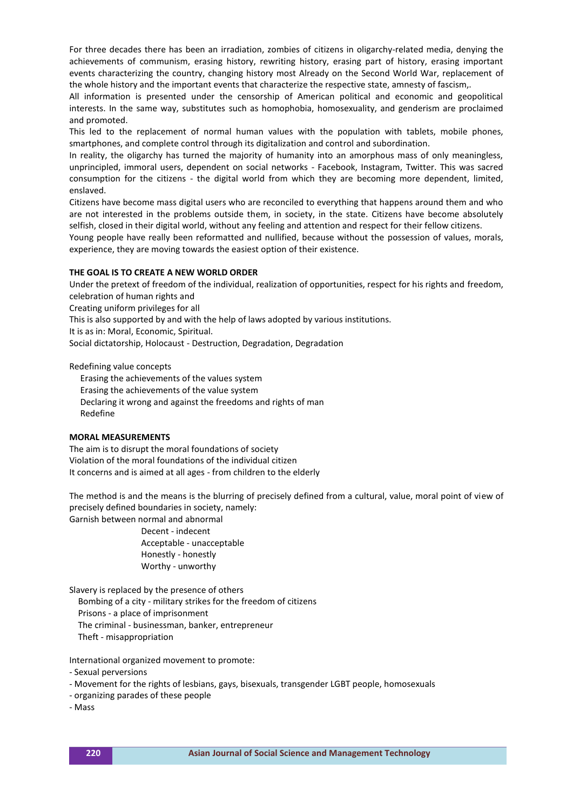For three decades there has been an irradiation, zombies of citizens in oligarchy-related media, denying the achievements of communism, erasing history, rewriting history, erasing part of history, erasing important events characterizing the country, changing history most Already on the Second World War, replacement of the whole history and the important events that characterize the respective state, amnesty of fascism,.

All information is presented under the censorship of American political and economic and geopolitical interests. In the same way, substitutes such as homophobia, homosexuality, and genderism are proclaimed and promoted.

This led to the replacement of normal human values with the population with tablets, mobile phones, smartphones, and complete control through its digitalization and control and subordination.

In reality, the oligarchy has turned the majority of humanity into an amorphous mass of only meaningless, unprincipled, immoral users, dependent on social networks - Facebook, Instagram, Twitter. This was sacred consumption for the citizens - the digital world from which they are becoming more dependent, limited, enslaved.

Citizens have become mass digital users who are reconciled to everything that happens around them and who are not interested in the problems outside them, in society, in the state. Citizens have become absolutely selfish, closed in their digital world, without any feeling and attention and respect for their fellow citizens.

Young people have really been reformatted and nullified, because without the possession of values, morals, experience, they are moving towards the easiest option of their existence.

#### **THE GOAL IS TO CREATE A NEW WORLD ORDER**

Under the pretext of freedom of the individual, realization of opportunities, respect for his rights and freedom, celebration of human rights and

Creating uniform privileges for all

This is also supported by and with the help of laws adopted by various institutions.

It is as in: Moral, Economic, Spiritual.

Social dictatorship, Holocaust - Destruction, Degradation, Degradation

Redefining value concepts

 Erasing the achievements of the values system Erasing the achievements of the value system Declaring it wrong and against the freedoms and rights of man Redefine

#### **MORAL MEASUREMENTS**

The aim is to disrupt the moral foundations of society Violation of the moral foundations of the individual citizen It concerns and is aimed at all ages - from children to the elderly

The method is and the means is the blurring of precisely defined from a cultural, value, moral point of view of precisely defined boundaries in society, namely:

Garnish between normal and abnormal Decent - indecent Acceptable - unacceptable Honestly - honestly

Worthy - unworthy

Slavery is replaced by the presence of others

 Bombing of a city - military strikes for the freedom of citizens Prisons - a place of imprisonment The criminal - businessman, banker, entrepreneur

Theft - misappropriation

International organized movement to promote:

- Sexual perversions
- Movement for the rights of lesbians, gays, bisexuals, transgender LGBT people, homosexuals
- organizing parades of these people

- Mass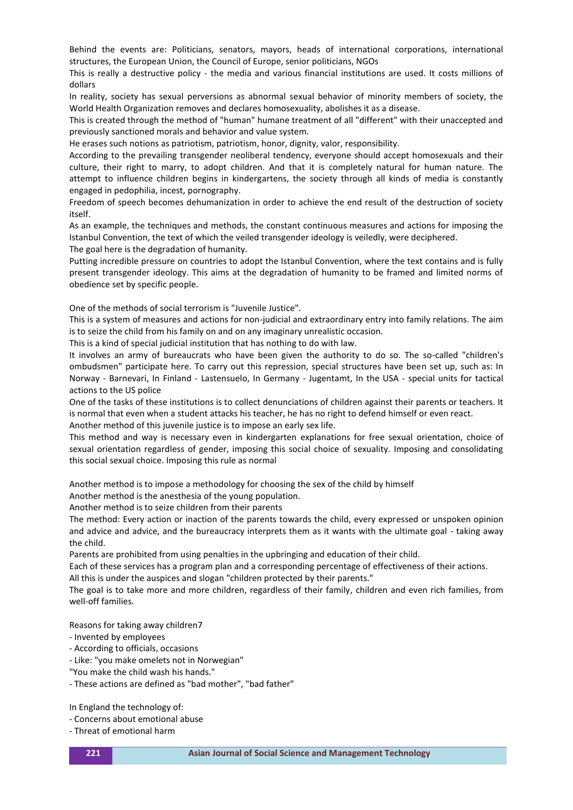Behind the events are: Politicians, senators, mayors, heads of international corporations, international structures, the European Union, the Council of Europe, senior politicians, NGOs

This is really a destructive policy - the media and various financial institutions are used. It costs millions of dollars

In reality, society has sexual perversions as abnormal sexual behavior of minority members of society, the World Health Organization removes and declares homosexuality, abolishes it as a disease.

This is created through the method of "human" humane treatment of all "different" with their unaccepted and previously sanctioned morals and behavior and value system.

He erases such notions as patriotism, patriotism, honor, dignity, valor, responsibility.

According to the prevailing transgender neoliberal tendency, everyone should accept homosexuals and their culture, their right to marry, to adopt children. And that it is completely natural for human nature. The attempt to influence children begins in kindergartens, the society through all kinds of media is constantly engaged in pedophilia, incest, pornography.

Freedom of speech becomes dehumanization in order to achieve the end result of the destruction of society itself.

As an example, the techniques and methods, the constant continuous measures and actions for imposing the Istanbul Convention, the text of which the veiled transgender ideology is veiledly, were deciphered.

The goal here is the degradation of humanity. Putting incredible pressure on countries to adopt the Istanbul Convention, where the text contains and is fully present transgender ideology. This aims at the degradation of humanity to be framed and limited norms of

obedience set by specific people.

One of the methods of social terrorism is "Juvenile Justice".

This is a system of measures and actions for non-judicial and extraordinary entry into family relations. The aim is to seize the child from his family on and on any imaginary unrealistic occasion.

This is a kind of special judicial institution that has nothing to do with law.

It involves an army of bureaucrats who have been given the authority to do so. The so-called "children's ombudsmen" participate here. To carry out this repression, special structures have been set up, such as: In Norway - Barnevari, In Finland - Lastensuelo, In Germany - Jugentamt, In the USA - special units for tactical actions to the US police

One of the tasks of these institutions is to collect denunciations of children against their parents or teachers. It is normal that even when a student attacks his teacher, he has no right to defend himself or even react.

Another method of this juvenile justice is to impose an early sex life.

This method and way is necessary even in kindergarten explanations for free sexual orientation, choice of sexual orientation regardless of gender, imposing this social choice of sexuality. Imposing and consolidating this social sexual choice. Imposing this rule as normal

Another method is to impose a methodology for choosing the sex of the child by himself

Another method is the anesthesia of the young population.

Another method is to seize children from their parents

The method: Every action or inaction of the parents towards the child, every expressed or unspoken opinion and advice and advice, and the bureaucracy interprets them as it wants with the ultimate goal - taking away the child.

Parents are prohibited from using penalties in the upbringing and education of their child.

Each of these services has a program plan and a corresponding percentage of effectiveness of their actions.

All this is under the auspices and slogan "children protected by their parents."

The goal is to take more and more children, regardless of their family, children and even rich families, from well-off families.

Reasons for taking away children7

- Invented by employees

- According to officials, occasions
- Like: "you make omelets not in Norwegian"
- "You make the child wash his hands."
- These actions are defined as "bad mother", "bad father"

In England the technology of:

- Concerns about emotional abuse
- Threat of emotional harm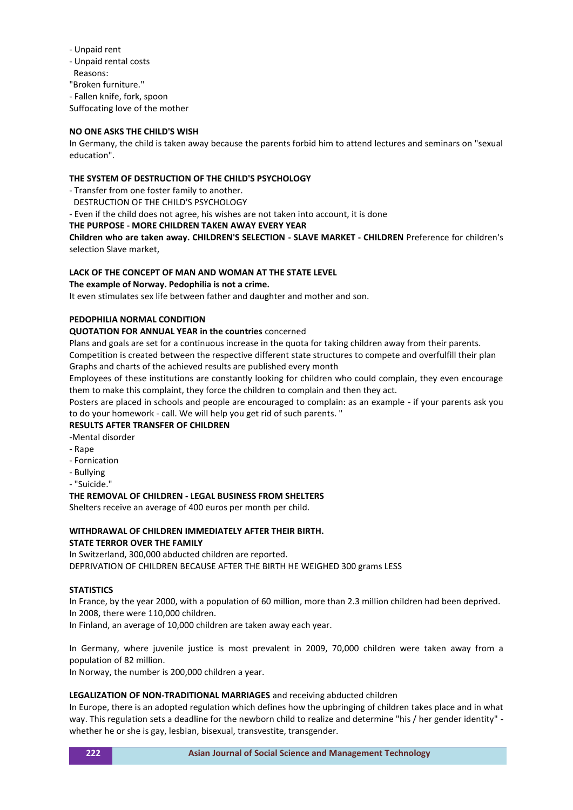- Unpaid rent
- Unpaid rental costs
- Reasons:
- "Broken furniture."
- Fallen knife, fork, spoon
- Suffocating love of the mother

### **NO ONE ASKS THE CHILD'S WISH**

In Germany, the child is taken away because the parents forbid him to attend lectures and seminars on "sexual education".

### **THE SYSTEM OF DESTRUCTION OF THE CHILD'S PSYCHOLOGY**

- Transfer from one foster family to another.

DESTRUCTION OF THE CHILD'S PSYCHOLOGY

- Even if the child does not agree, his wishes are not taken into account, it is done

### **THE PURPOSE - MORE CHILDREN TAKEN AWAY EVERY YEAR**

**Children who are taken away. CHILDREN'S SELECTION - SLAVE MARKET - CHILDREN** Preference for children's selection Slave market,

# **LACK OF THE CONCEPT OF MAN AND WOMAN AT THE STATE LEVEL**

#### **The example of Norway. Pedophilia is not a crime.**

It even stimulates sex life between father and daughter and mother and son.

# **PEDOPHILIA NORMAL CONDITION**

### **QUOTATION FOR ANNUAL YEAR in the countries** concerned

Plans and goals are set for a continuous increase in the quota for taking children away from their parents.

Competition is created between the respective different state structures to compete and overfulfill their plan Graphs and charts of the achieved results are published every month

Employees of these institutions are constantly looking for children who could complain, they even encourage them to make this complaint, they force the children to complain and then they act.

Posters are placed in schools and people are encouraged to complain: as an example - if your parents ask you to do your homework - call. We will help you get rid of such parents. "

# **RESULTS AFTER TRANSFER OF CHILDREN**

- -Mental disorder
- Rape
- Fornication
- Bullying
- "Suicide."

#### **THE REMOVAL OF CHILDREN - LEGAL BUSINESS FROM SHELTERS**

Shelters receive an average of 400 euros per month per child.

### **WITHDRAWAL OF CHILDREN IMMEDIATELY AFTER THEIR BIRTH. STATE TERROR OVER THE FAMILY**

In Switzerland, 300,000 abducted children are reported. DEPRIVATION OF CHILDREN BECAUSE AFTER THE BIRTH HE WEIGHED 300 grams LESS

# **STATISTICS**

In France, by the year 2000, with a population of 60 million, more than 2.3 million children had been deprived. In 2008, there were 110,000 children.

In Finland, an average of 10,000 children are taken away each year.

In Germany, where juvenile justice is most prevalent in 2009, 70,000 children were taken away from a population of 82 million.

In Norway, the number is 200,000 children a year.

# **LEGALIZATION OF NON-TRADITIONAL MARRIAGES** and receiving abducted children

In Europe, there is an adopted regulation which defines how the upbringing of children takes place and in what way. This regulation sets a deadline for the newborn child to realize and determine "his / her gender identity" whether he or she is gay, lesbian, bisexual, transvestite, transgender.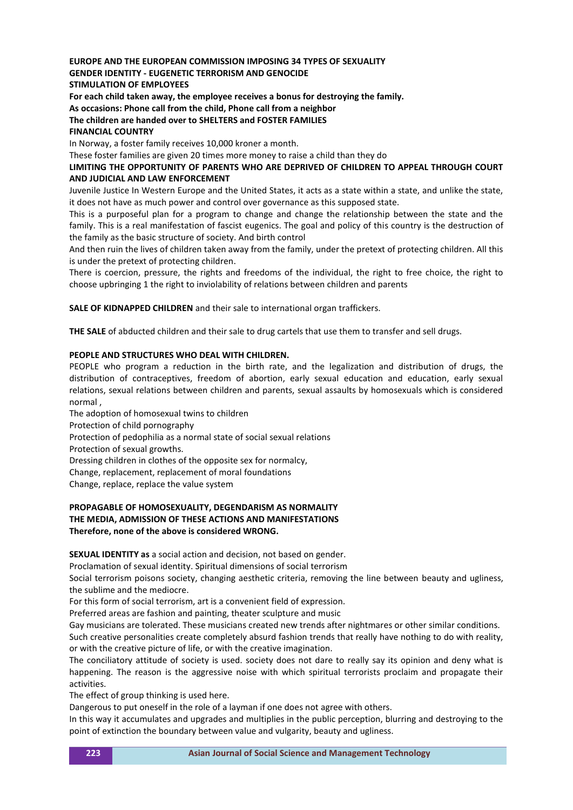# **EUROPE AND THE EUROPEAN COMMISSION IMPOSING 34 TYPES OF SEXUALITY**

#### **GENDER IDENTITY - EUGENETIC TERRORISM AND GENOCIDE**

**STIMULATION OF EMPLOYEES**

**For each child taken away, the employee receives a bonus for destroying the family.**

**As occasions: Phone call from the child, Phone call from a neighbor**

# **The children are handed over to SHELTERS and FOSTER FAMILIES**

### **FINANCIAL COUNTRY**

In Norway, a foster family receives 10,000 kroner a month.

These foster families are given 20 times more money to raise a child than they do

### **LIMITING THE OPPORTUNITY OF PARENTS WHO ARE DEPRIVED OF CHILDREN TO APPEAL THROUGH COURT AND JUDICIAL AND LAW ENFORCEMENT**

Juvenile Justice In Western Europe and the United States, it acts as a state within a state, and unlike the state, it does not have as much power and control over governance as this supposed state.

This is a purposeful plan for a program to change and change the relationship between the state and the family. This is a real manifestation of fascist eugenics. The goal and policy of this country is the destruction of the family as the basic structure of society. And birth control

And then ruin the lives of children taken away from the family, under the pretext of protecting children. All this is under the pretext of protecting children.

There is coercion, pressure, the rights and freedoms of the individual, the right to free choice, the right to choose upbringing 1 the right to inviolability of relations between children and parents

**SALE OF KIDNAPPED CHILDREN** and their sale to international organ traffickers.

**THE SALE** of abducted children and their sale to drug cartels that use them to transfer and sell drugs.

### **PEOPLE AND STRUCTURES WHO DEAL WITH CHILDREN.**

PEOPLE who program a reduction in the birth rate, and the legalization and distribution of drugs, the distribution of contraceptives, freedom of abortion, early sexual education and education, early sexual relations, sexual relations between children and parents, sexual assaults by homosexuals which is considered normal ,

The adoption of homosexual twins to children Protection of child pornography Protection of pedophilia as a normal state of social sexual relations Protection of sexual growths. Dressing children in clothes of the opposite sex for normalcy, Change, replacement, replacement of moral foundations Change, replace, replace the value system

### **PROPAGABLE OF HOMOSEXUALITY, DEGENDARISM AS NORMALITY THE MEDIA, ADMISSION OF THESE ACTIONS AND MANIFESTATIONS Therefore, none of the above is considered WRONG.**

**SEXUAL IDENTITY as** a social action and decision, not based on gender.

Proclamation of sexual identity. Spiritual dimensions of social terrorism

Social terrorism poisons society, changing aesthetic criteria, removing the line between beauty and ugliness, the sublime and the mediocre.

For this form of social terrorism, art is a convenient field of expression.

Preferred areas are fashion and painting, theater sculpture and music

Gay musicians are tolerated. These musicians created new trends after nightmares or other similar conditions. Such creative personalities create completely absurd fashion trends that really have nothing to do with reality,

or with the creative picture of life, or with the creative imagination.

The conciliatory attitude of society is used. society does not dare to really say its opinion and deny what is happening. The reason is the aggressive noise with which spiritual terrorists proclaim and propagate their activities.

The effect of group thinking is used here.

Dangerous to put oneself in the role of a layman if one does not agree with others.

In this way it accumulates and upgrades and multiplies in the public perception, blurring and destroying to the point of extinction the boundary between value and vulgarity, beauty and ugliness.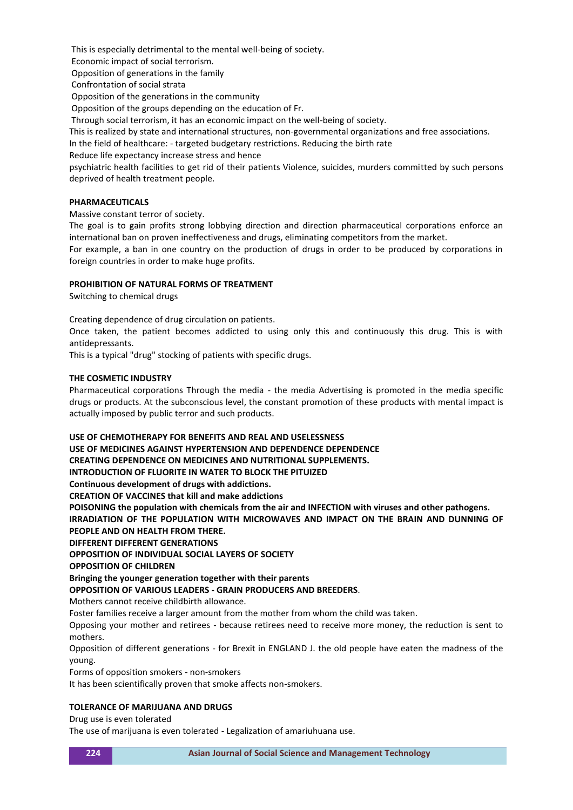This is especially detrimental to the mental well-being of society.

Economic impact of social terrorism.

Opposition of generations in the family

Confrontation of social strata

Opposition of the generations in the community

Opposition of the groups depending on the education of Fr.

Through social terrorism, it has an economic impact on the well-being of society.

This is realized by state and international structures, non-governmental organizations and free associations.

In the field of healthcare: - targeted budgetary restrictions. Reducing the birth rate

Reduce life expectancy increase stress and hence

psychiatric health facilities to get rid of their patients Violence, suicides, murders committed by such persons deprived of health treatment people.

### **PHARMACEUTICALS**

Massive constant terror of society.

The goal is to gain profits strong lobbying direction and direction pharmaceutical corporations enforce an international ban on proven ineffectiveness and drugs, eliminating competitors from the market.

For example, a ban in one country on the production of drugs in order to be produced by corporations in foreign countries in order to make huge profits.

### **PROHIBITION OF NATURAL FORMS OF TREATMENT**

Switching to chemical drugs

Creating dependence of drug circulation on patients.

Once taken, the patient becomes addicted to using only this and continuously this drug. This is with antidepressants.

This is a typical "drug" stocking of patients with specific drugs.

### **THE COSMETIC INDUSTRY**

Pharmaceutical corporations Through the media - the media Advertising is promoted in the media specific drugs or products. At the subconscious level, the constant promotion of these products with mental impact is actually imposed by public terror and such products.

#### **USE OF CHEMOTHERAPY FOR BENEFITS AND REAL AND USELESSNESS**

**USE OF MEDICINES AGAINST HYPERTENSION AND DEPENDENCE DEPENDENCE**

**CREATING DEPENDENCE ON MEDICINES AND NUTRITIONAL SUPPLEMENTS.**

**INTRODUCTION OF FLUORITE IN WATER TO BLOCK THE PITUIZED**

**Continuous development of drugs with addictions.**

**CREATION OF VACCINES that kill and make addictions**

**POISONING the population with chemicals from the air and INFECTION with viruses and other pathogens. IRRADIATION OF THE POPULATION WITH MICROWAVES AND IMPACT ON THE BRAIN AND DUNNING OF** 

# **PEOPLE AND ON HEALTH FROM THERE.**

**DIFFERENT DIFFERENT GENERATIONS**

**OPPOSITION OF INDIVIDUAL SOCIAL LAYERS OF SOCIETY**

#### **OPPOSITION OF CHILDREN**

**Bringing the younger generation together with their parents**

**OPPOSITION OF VARIOUS LEADERS - GRAIN PRODUCERS AND BREEDERS**.

Mothers cannot receive childbirth allowance.

Foster families receive a larger amount from the mother from whom the child was taken.

Opposing your mother and retirees - because retirees need to receive more money, the reduction is sent to mothers.

Opposition of different generations - for Brexit in ENGLAND J. the old people have eaten the madness of the young.

Forms of opposition smokers - non-smokers

It has been scientifically proven that smoke affects non-smokers.

# **TOLERANCE OF MARIJUANA AND DRUGS**

Drug use is even tolerated

The use of marijuana is even tolerated - Legalization of amariuhuana use.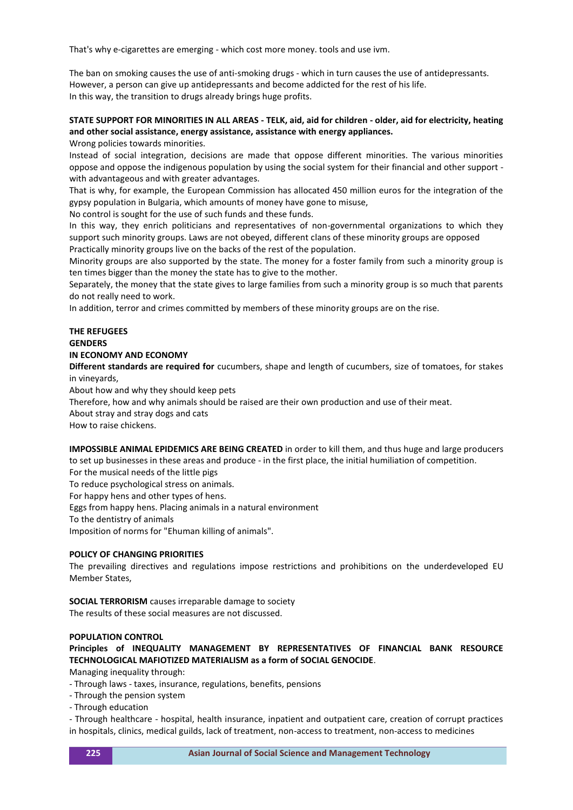That's why e-cigarettes are emerging - which cost more money. tools and use ivm.

The ban on smoking causes the use of anti-smoking drugs - which in turn causes the use of antidepressants. However, a person can give up antidepressants and become addicted for the rest of his life. In this way, the transition to drugs already brings huge profits.

# **STATE SUPPORT FOR MINORITIES IN ALL AREAS - TELK, aid, aid for children - older, aid for electricity, heating and other social assistance, energy assistance, assistance with energy appliances.**

Wrong policies towards minorities.

Instead of social integration, decisions are made that oppose different minorities. The various minorities oppose and oppose the indigenous population by using the social system for their financial and other support with advantageous and with greater advantages.

That is why, for example, the European Commission has allocated 450 million euros for the integration of the gypsy population in Bulgaria, which amounts of money have gone to misuse,

No control is sought for the use of such funds and these funds.

In this way, they enrich politicians and representatives of non-governmental organizations to which they support such minority groups. Laws are not obeyed, different clans of these minority groups are opposed Practically minority groups live on the backs of the rest of the population.

Minority groups are also supported by the state. The money for a foster family from such a minority group is ten times bigger than the money the state has to give to the mother.

Separately, the money that the state gives to large families from such a minority group is so much that parents do not really need to work.

In addition, terror and crimes committed by members of these minority groups are on the rise.

# **THE REFUGEES GENDERS**

### **IN ECONOMY AND ECONOMY**

**Different standards are required for** cucumbers, shape and length of cucumbers, size of tomatoes, for stakes in vineyards,

About how and why they should keep pets

Therefore, how and why animals should be raised are their own production and use of their meat.

About stray and stray dogs and cats

How to raise chickens.

**IMPOSSIBLE ANIMAL EPIDEMICS ARE BEING CREATED** in order to kill them, and thus huge and large producers to set up businesses in these areas and produce - in the first place, the initial humiliation of competition. For the musical needs of the little pigs

To reduce psychological stress on animals.

For happy hens and other types of hens.

Eggs from happy hens. Placing animals in a natural environment

To the dentistry of animals

Imposition of norms for "Ehuman killing of animals".

#### **POLICY OF CHANGING PRIORITIES**

The prevailing directives and regulations impose restrictions and prohibitions on the underdeveloped EU Member States,

**SOCIAL TERRORISM** causes irreparable damage to society

The results of these social measures are not discussed.

### **POPULATION CONTROL**

**Principles of INEQUALITY MANAGEMENT BY REPRESENTATIVES OF FINANCIAL BANK RESOURCE TECHNOLOGICAL MAFIOTIZED MATERIALISM as a form of SOCIAL GENOCIDE**.

Managing inequality through:

- Through laws - taxes, insurance, regulations, benefits, pensions

- Through the pension system

- Through education

- Through healthcare - hospital, health insurance, inpatient and outpatient care, creation of corrupt practices in hospitals, clinics, medical guilds, lack of treatment, non-access to treatment, non-access to medicines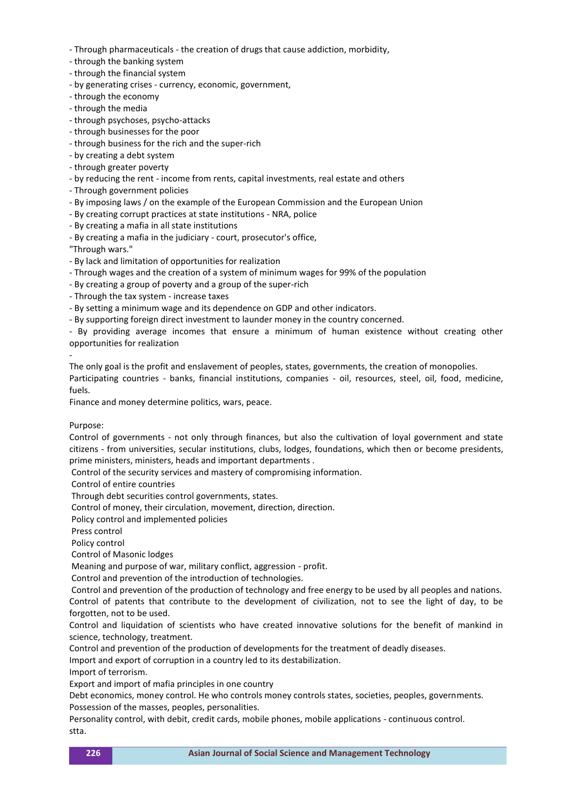- Through pharmaceuticals - the creation of drugs that cause addiction, morbidity,

- through the banking system
- through the financial system
- by generating crises currency, economic, government,
- through the economy
- through the media
- through psychoses, psycho-attacks
- through businesses for the poor
- through business for the rich and the super-rich
- by creating a debt system
- through greater poverty
- by reducing the rent income from rents, capital investments, real estate and others
- Through government policies
- By imposing laws / on the example of the European Commission and the European Union
- By creating corrupt practices at state institutions NRA, police
- By creating a mafia in all state institutions
- By creating a mafia in the judiciary court, prosecutor's office,

"Through wars."

- By lack and limitation of opportunities for realization
- Through wages and the creation of a system of minimum wages for 99% of the population
- By creating a group of poverty and a group of the super-rich
- Through the tax system increase taxes
- By setting a minimum wage and its dependence on GDP and other indicators.
- By supporting foreign direct investment to launder money in the country concerned.
- By providing average incomes that ensure a minimum of human existence without creating other opportunities for realization

-

The only goal is the profit and enslavement of peoples, states, governments, the creation of monopolies.

Participating countries - banks, financial institutions, companies - oil, resources, steel, oil, food, medicine, fuels.

Finance and money determine politics, wars, peace.

#### Purpose:

Control of governments - not only through finances, but also the cultivation of loyal government and state citizens - from universities, secular institutions, clubs, lodges, foundations, which then or become presidents, prime ministers, ministers, heads and important departments .

Control of the security services and mastery of compromising information.

Control of entire countries

Through debt securities control governments, states.

Control of money, their circulation, movement, direction, direction.

Policy control and implemented policies

Press control

Policy control

Control of Masonic lodges

Meaning and purpose of war, military conflict, aggression - profit.

Control and prevention of the introduction of technologies.

Control and prevention of the production of technology and free energy to be used by all peoples and nations. Control of patents that contribute to the development of civilization, not to see the light of day, to be forgotten, not to be used.

Control and liquidation of scientists who have created innovative solutions for the benefit of mankind in science, technology, treatment.

Control and prevention of the production of developments for the treatment of deadly diseases.

Import and export of corruption in a country led to its destabilization.

Import of terrorism.

Export and import of mafia principles in one country

Debt economics, money control. He who controls money controls states, societies, peoples, governments. Possession of the masses, peoples, personalities.

Personality control, with debit, credit cards, mobile phones, mobile applications - continuous control. stta.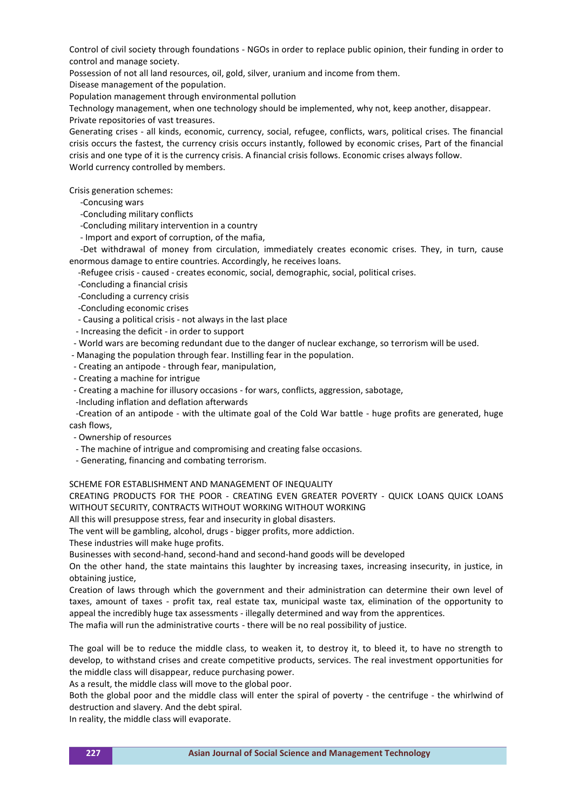Control of civil society through foundations - NGOs in order to replace public opinion, their funding in order to control and manage society.

Possession of not all land resources, oil, gold, silver, uranium and income from them.

Disease management of the population.

Population management through environmental pollution

Technology management, when one technology should be implemented, why not, keep another, disappear. Private repositories of vast treasures.

Generating crises - all kinds, economic, currency, social, refugee, conflicts, wars, political crises. The financial crisis occurs the fastest, the currency crisis occurs instantly, followed by economic crises, Part of the financial crisis and one type of it is the currency crisis. A financial crisis follows. Economic crises always follow. World currency controlled by members.

Crisis generation schemes:

-Concusing wars

-Concluding military conflicts

-Concluding military intervention in a country

- Import and export of corruption, of the mafia,

 -Det withdrawal of money from circulation, immediately creates economic crises. They, in turn, cause enormous damage to entire countries. Accordingly, he receives loans.

-Refugee crisis - caused - creates economic, social, demographic, social, political crises.

-Concluding a financial crisis

-Concluding a currency crisis

-Concluding economic crises

- Causing a political crisis - not always in the last place

- Increasing the deficit in order to support
- World wars are becoming redundant due to the danger of nuclear exchange, so terrorism will be used.

- Managing the population through fear. Instilling fear in the population.

- Creating an antipode through fear, manipulation,
- Creating a machine for intrigue
- Creating a machine for illusory occasions for wars, conflicts, aggression, sabotage,
- -Including inflation and deflation afterwards

 -Creation of an antipode - with the ultimate goal of the Cold War battle - huge profits are generated, huge cash flows,

- Ownership of resources
- The machine of intrigue and compromising and creating false occasions.
- Generating, financing and combating terrorism.

SCHEME FOR ESTABLISHMENT AND MANAGEMENT OF INEQUALITY

CREATING PRODUCTS FOR THE POOR - CREATING EVEN GREATER POVERTY - QUICK LOANS QUICK LOANS WITHOUT SECURITY, CONTRACTS WITHOUT WORKING WITHOUT WORKING

All this will presuppose stress, fear and insecurity in global disasters.

The vent will be gambling, alcohol, drugs - bigger profits, more addiction.

These industries will make huge profits.

Businesses with second-hand, second-hand and second-hand goods will be developed

On the other hand, the state maintains this laughter by increasing taxes, increasing insecurity, in justice, in obtaining justice,

Creation of laws through which the government and their administration can determine their own level of taxes, amount of taxes - profit tax, real estate tax, municipal waste tax, elimination of the opportunity to appeal the incredibly huge tax assessments - illegally determined and way from the apprentices.

The mafia will run the administrative courts - there will be no real possibility of justice.

The goal will be to reduce the middle class, to weaken it, to destroy it, to bleed it, to have no strength to develop, to withstand crises and create competitive products, services. The real investment opportunities for the middle class will disappear, reduce purchasing power.

As a result, the middle class will move to the global poor.

Both the global poor and the middle class will enter the spiral of poverty - the centrifuge - the whirlwind of destruction and slavery. And the debt spiral.

In reality, the middle class will evaporate.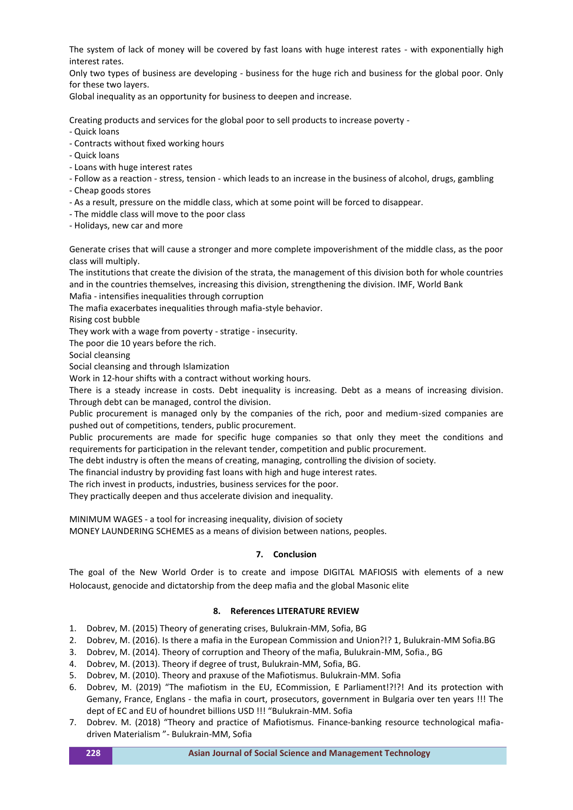The system of lack of money will be covered by fast loans with huge interest rates - with exponentially high interest rates.

Only two types of business are developing - business for the huge rich and business for the global poor. Only for these two layers.

Global inequality as an opportunity for business to deepen and increase.

Creating products and services for the global poor to sell products to increase poverty -

- Quick loans
- Contracts without fixed working hours
- Quick loans
- Loans with huge interest rates
- Follow as a reaction stress, tension which leads to an increase in the business of alcohol, drugs, gambling
- Cheap goods stores
- As a result, pressure on the middle class, which at some point will be forced to disappear.
- The middle class will move to the poor class
- Holidays, new car and more

Generate crises that will cause a stronger and more complete impoverishment of the middle class, as the poor class will multiply.

The institutions that create the division of the strata, the management of this division both for whole countries and in the countries themselves, increasing this division, strengthening the division. IMF, World Bank

Mafia - intensifies inequalities through corruption

The mafia exacerbates inequalities through mafia-style behavior.

Rising cost bubble

They work with a wage from poverty - stratige - insecurity.

The poor die 10 years before the rich.

Social cleansing

Social cleansing and through Islamization

Work in 12-hour shifts with a contract without working hours.

There is a steady increase in costs. Debt inequality is increasing. Debt as a means of increasing division. Through debt can be managed, control the division.

Public procurement is managed only by the companies of the rich, poor and medium-sized companies are pushed out of competitions, tenders, public procurement.

Public procurements are made for specific huge companies so that only they meet the conditions and requirements for participation in the relevant tender, competition and public procurement.

The debt industry is often the means of creating, managing, controlling the division of society.

The financial industry by providing fast loans with high and huge interest rates.

The rich invest in products, industries, business services for the poor.

They practically deepen and thus accelerate division and inequality.

MINIMUM WAGES - a tool for increasing inequality, division of society

MONEY LAUNDERING SCHEMES as a means of division between nations, peoples.

#### **7. Conclusion**

The goal of the New World Order is to create and impose DIGITAL MAFIOSIS with elements of a new Holocaust, genocide and dictatorship from the deep mafia and the global Masonic elite

#### **8. References LITERATURE REVIEW**

- 1. Dobrev, M. (2015) Theory of generating crises, Bulukrain-MM, Sofia, BG
- 2. Dobrev, M. (2016). Is there a mafia in the European Commission and Union?!? 1, Bulukrain-MM Sofia.BG
- 3. Dobrev, M. (2014). Theory of corruption and Theory of the mafia, Bulukrain-MM, Sofia., BG
- 4. Dobrev, M. (2013). Theory if degree of trust, Bulukrain-MM, Sofia, BG.
- 5. Dobrev, M. (2010). Theory and praxuse of the Mafiotismus. Bulukrain-MM. Sofia
- 6. Dobrev, M. (2019) "The mafiotism in the EU, ECommission, E Parliament!?!?! And its protection with Gemany, France, Englans - the mafia in court, prosecutors, government in Bulgaria over ten years !!! The dept of EC and EU of houndret billions USD !!! "Bulukrain-MM. Sofia
- 7. Dobrev. M. (2018) "Theory and practice of Mafiotismus. Finance-banking resource technological mafiadriven Materialism "- Bulukrain-MM, Sofia